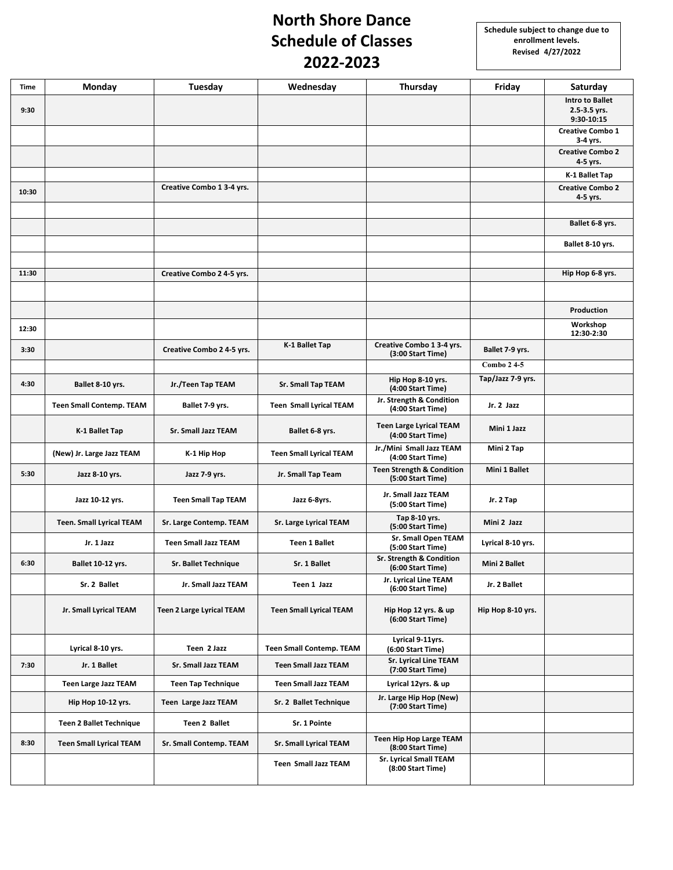## **North Shore Dance Schedule of Classes 2022-2023**

| Time  | Monday                          | Tuesday                          | Wednesday                       | Thursday                                                  | Friday            | Saturday                                             |
|-------|---------------------------------|----------------------------------|---------------------------------|-----------------------------------------------------------|-------------------|------------------------------------------------------|
| 9:30  |                                 |                                  |                                 |                                                           |                   | <b>Intro to Ballet</b><br>2.5-3.5 yrs.<br>9:30-10:15 |
|       |                                 |                                  |                                 |                                                           |                   | <b>Creative Combo 1</b><br>3-4 yrs.                  |
|       |                                 |                                  |                                 |                                                           |                   | <b>Creative Combo 2</b><br>4-5 yrs.                  |
|       |                                 |                                  |                                 |                                                           |                   | K-1 Ballet Tap                                       |
| 10:30 |                                 | Creative Combo 1 3-4 yrs.        |                                 |                                                           |                   | <b>Creative Combo 2</b><br>4-5 yrs.                  |
|       |                                 |                                  |                                 |                                                           |                   |                                                      |
|       |                                 |                                  |                                 |                                                           |                   | Ballet 6-8 yrs.                                      |
|       |                                 |                                  |                                 |                                                           |                   | Ballet 8-10 yrs.                                     |
|       |                                 |                                  |                                 |                                                           |                   |                                                      |
| 11:30 |                                 | Creative Combo 2 4-5 yrs.        |                                 |                                                           |                   | Hip Hop 6-8 yrs.                                     |
|       |                                 |                                  |                                 |                                                           |                   |                                                      |
|       |                                 |                                  |                                 |                                                           |                   | Production<br>Workshop                               |
| 12:30 |                                 |                                  |                                 |                                                           |                   | 12:30-2:30                                           |
| 3:30  |                                 | Creative Combo 2 4-5 yrs.        | K-1 Ballet Tap                  | Creative Combo 1 3-4 yrs.<br>(3:00 Start Time)            | Ballet 7-9 yrs.   |                                                      |
|       |                                 |                                  |                                 |                                                           | Combo 24-5        |                                                      |
| 4:30  | Ballet 8-10 yrs.                | Jr./Teen Tap TEAM                | <b>Sr. Small Tap TEAM</b>       | Hip Hop 8-10 yrs.<br>(4:00 Start Time)                    | Tap/Jazz 7-9 yrs. |                                                      |
|       | <b>Teen Small Contemp. TEAM</b> | Ballet 7-9 yrs.                  | <b>Teen Small Lyrical TEAM</b>  | Jr. Strength & Condition<br>(4:00 Start Time)             | Jr. 2 Jazz        |                                                      |
|       | K-1 Ballet Tap                  | <b>Sr. Small Jazz TEAM</b>       | Ballet 6-8 yrs.                 | <b>Teen Large Lyrical TEAM</b><br>(4:00 Start Time)       | Mini 1 Jazz       |                                                      |
|       | (New) Jr. Large Jazz TEAM       | K-1 Hip Hop                      | <b>Teen Small Lyrical TEAM</b>  | Jr./Mini Small Jazz TEAM<br>(4:00 Start Time)             | Mini 2 Tap        |                                                      |
| 5:30  | Jazz 8-10 yrs.                  | Jazz 7-9 yrs.                    | Jr. Small Tap Team              | <b>Teen Strength &amp; Condition</b><br>(5:00 Start Time) | Mini 1 Ballet     |                                                      |
|       | Jazz 10-12 yrs.                 | <b>Teen Small Tap TEAM</b>       | Jazz 6-8yrs.                    | Jr. Small Jazz TEAM<br>(5:00 Start Time)                  | Jr. 2 Tap         |                                                      |
|       | <b>Teen. Small Lyrical TEAM</b> | Sr. Large Contemp. TEAM          | <b>Sr. Large Lyrical TEAM</b>   | Tap 8-10 yrs.<br>(5:00 Start Time)                        | Mini 2 Jazz       |                                                      |
|       | Jr. 1 Jazz                      | <b>Teen Small Jazz TEAM</b>      | <b>Teen 1 Ballet</b>            | <b>Sr. Small Open TEAM</b><br>(5:00 Start Time)           | Lyrical 8-10 yrs. |                                                      |
| 6:30  | Ballet 10-12 yrs.               | Sr. Ballet Technique             | Sr. 1 Ballet                    | Sr. Strength & Condition<br>(6:00 Start Time)             | Mini 2 Ballet     |                                                      |
|       | Sr. 2 Ballet                    | Jr. Small Jazz TEAM              | Teen 1 Jazz                     | Jr. Lyrical Line TEAM<br>(6:00 Start Time)                | Jr. 2 Ballet      |                                                      |
|       | Jr. Small Lyrical TEAM          | <b>Teen 2 Large Lyrical TEAM</b> | <b>Teen Small Lyrical TEAM</b>  | Hip Hop 12 yrs. & up<br>(6:00 Start Time)                 | Hip Hop 8-10 yrs. |                                                      |
|       | Lyrical 8-10 yrs.               | Teen 2 Jazz                      | <b>Teen Small Contemp. TEAM</b> | Lyrical 9-11yrs.<br>(6:00 Start Time)                     |                   |                                                      |
| 7:30  | Jr. 1 Ballet                    | Sr. Small Jazz TEAM              | <b>Teen Small Jazz TEAM</b>     | Sr. Lyrical Line TEAM<br>(7:00 Start Time)                |                   |                                                      |
|       | <b>Teen Large Jazz TEAM</b>     | <b>Teen Tap Technique</b>        | <b>Teen Small Jazz TEAM</b>     | Lyrical 12yrs. & up                                       |                   |                                                      |
|       | Hip Hop 10-12 yrs.              | Teen Large Jazz TEAM             | Sr. 2 Ballet Technique          | Jr. Large Hip Hop (New)<br>(7:00 Start Time)              |                   |                                                      |
|       | <b>Teen 2 Ballet Technique</b>  | Teen 2 Ballet                    | Sr. 1 Pointe                    |                                                           |                   |                                                      |
| 8:30  | <b>Teen Small Lyrical TEAM</b>  | Sr. Small Contemp. TEAM          | Sr. Small Lyrical TEAM          | <b>Teen Hip Hop Large TEAM</b><br>(8:00 Start Time)       |                   |                                                      |
|       |                                 |                                  | <b>Teen Small Jazz TEAM</b>     | <b>Sr. Lyrical Small TEAM</b><br>(8:00 Start Time)        |                   |                                                      |